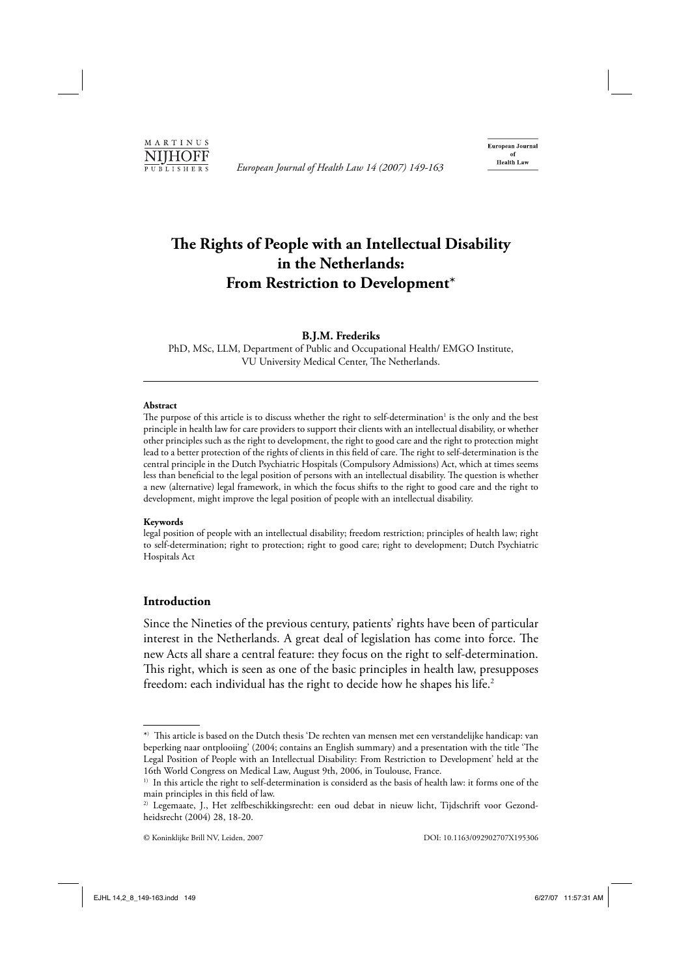

# **The Rights of People with an Intellectual Disability in the Netherlands: From Restriction to Development**\*

## **B.J.M. Frederiks**

PhD, MSc, LLM, Department of Public and Occupational Health/ EMGO Institute, VU University Medical Center, The Netherlands.

#### **Abstract**

The purpose of this article is to discuss whether the right to self-determination<sup>1</sup> is the only and the best principle in health law for care providers to support their clients with an intellectual disability, or whether other principles such as the right to development, the right to good care and the right to protection might lead to a better protection of the rights of clients in this field of care. The right to self-determination is the central principle in the Dutch Psychiatric Hospitals (Compulsory Admissions) Act, which at times seems less than beneficial to the legal position of persons with an intellectual disability. The question is whether a new (alternative) legal framework, in which the focus shifts to the right to good care and the right to development, might improve the legal position of people with an intellectual disability.

#### **Keywords**

 legal position of people with an intellectual disability; freedom restriction; principles of health law; right to self-determination; right to protection; right to good care; right to development; Dutch Psychiatric Hospitals Act

### **Introduction**

 Since the Nineties of the previous century, patients' rights have been of particular interest in the Netherlands. A great deal of legislation has come into force. The new Acts all share a central feature: they focus on the right to self-determination. This right, which is seen as one of the basic principles in health law, presupposes freedom: each individual has the right to decide how he shapes his life.<sup>2</sup>

<sup>\*)</sup> Th is article is based on the Dutch thesis 'De rechten van mensen met een verstandelijke handicap: van beperking naar ontplooiing' (2004; contains an English summary) and a presentation with the title 'The Legal Position of People with an Intellectual Disability: From Restriction to Development' held at the 16th World Congress on Medical Law, August 9th, 2006, in Toulouse, France.

<sup>&</sup>lt;sup>1)</sup> In this article the right to self-determination is considerd as the basis of health law: it forms one of the main principles in this field of law.

<sup>2)</sup> Legemaate, J., Het zelfbeschikkingsrecht: een oud debat in nieuw licht, Tijdschrift voor Gezondheidsrecht (2004) 28, 18-20.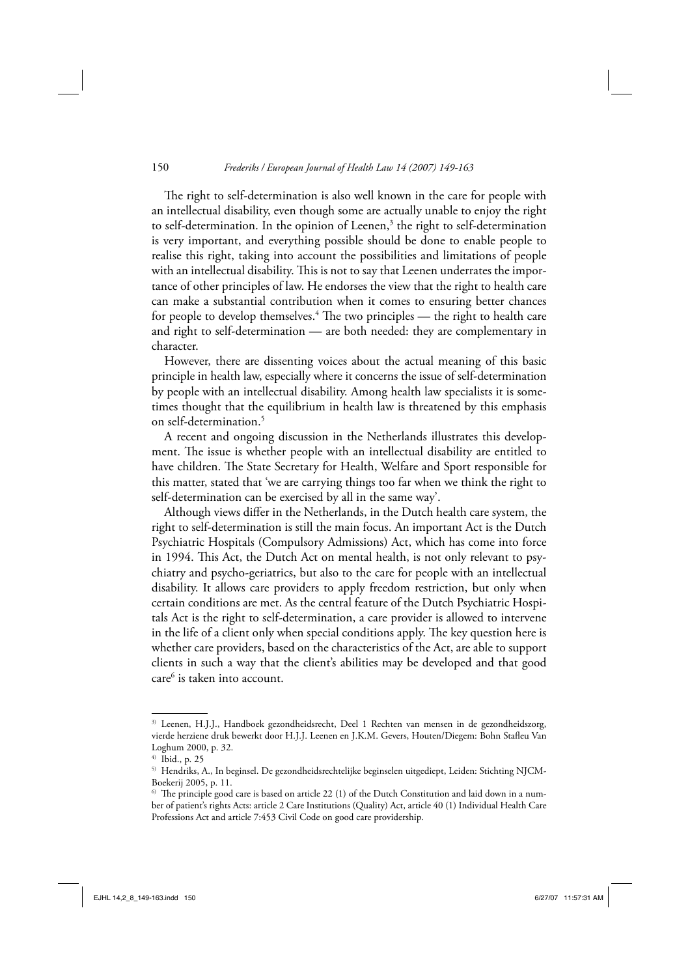The right to self-determination is also well known in the care for people with an intellectual disability, even though some are actually unable to enjoy the right to self-determination. In the opinion of Leenen,<sup>3</sup> the right to self-determination is very important, and everything possible should be done to enable people to realise this right, taking into account the possibilities and limitations of people with an intellectual disability. This is not to say that Leenen underrates the importance of other principles of law. He endorses the view that the right to health care can make a substantial contribution when it comes to ensuring better chances for people to develop themselves. $4$  The two principles — the right to health care and right to self-determination — are both needed: they are complementary in character.

 However, there are dissenting voices about the actual meaning of this basic principle in health law, especially where it concerns the issue of self-determination by people with an intellectual disability. Among health law specialists it is sometimes thought that the equilibrium in health law is threatened by this emphasis on self-determination.<sup>5</sup>

 A recent and ongoing discussion in the Netherlands illustrates this development. The issue is whether people with an intellectual disability are entitled to have children. The State Secretary for Health, Welfare and Sport responsible for this matter, stated that 'we are carrying things too far when we think the right to self-determination can be exercised by all in the same way'.

 Although views differ in the Netherlands, in the Dutch health care system, the right to self-determination is still the main focus. An important Act is the Dutch Psychiatric Hospitals (Compulsory Admissions) Act, which has come into force in 1994. This Act, the Dutch Act on mental health, is not only relevant to psychiatry and psycho-geriatrics, but also to the care for people with an intellectual disability. It allows care providers to apply freedom restriction, but only when certain conditions are met. As the central feature of the Dutch Psychiatric Hospitals Act is the right to self-determination, a care provider is allowed to intervene in the life of a client only when special conditions apply. The key question here is whether care providers, based on the characteristics of the Act, are able to support clients in such a way that the client's abilities may be developed and that good care6 is taken into account.

<sup>3)</sup> Leenen, H.J.J., Handboek gezondheidsrecht, Deel 1 Rechten van mensen in de gezondheidszorg, vierde herziene druk bewerkt door H.J.J. Leenen en J.K.M. Gevers, Houten/Diegem: Bohn Stafleu Van Loghum 2000, p. 32.

<sup>4)</sup> Ibid., p. 25

<sup>5)</sup> Hendriks, A., In beginsel. De gezondheidsrechtelijke beginselen uitgediept, Leiden: Stichting NJCM-Boekerij 2005, p. 11.

 $6$  The principle good care is based on article 22 (1) of the Dutch Constitution and laid down in a number of patient's rights Acts: article 2 Care Institutions (Quality) Act, article 40 (1) Individual Health Care Professions Act and article 7:453 Civil Code on good care providership.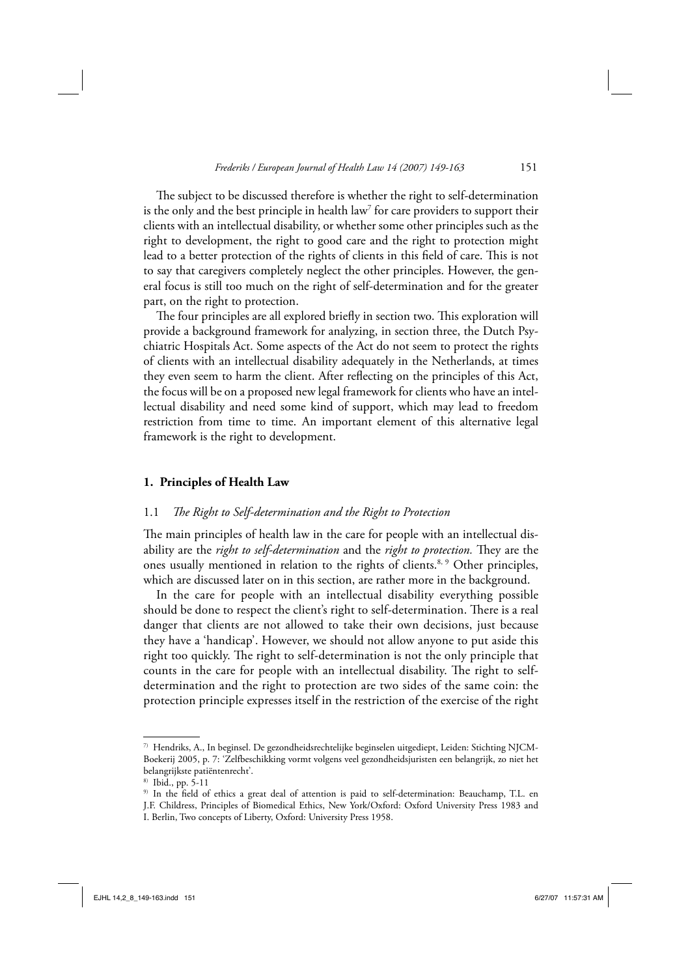The subject to be discussed therefore is whether the right to self-determination is the only and the best principle in health law $^7$  for care providers to support their clients with an intellectual disability, or whether some other principles such as the right to development, the right to good care and the right to protection might lead to a better protection of the rights of clients in this field of care. This is not to say that caregivers completely neglect the other principles. However, the general focus is still too much on the right of self-determination and for the greater part, on the right to protection.

The four principles are all explored briefly in section two. This exploration will provide a background framework for analyzing, in section three, the Dutch Psychiatric Hospitals Act. Some aspects of the Act do not seem to protect the rights of clients with an intellectual disability adequately in the Netherlands, at times they even seem to harm the client. After reflecting on the principles of this Act, the focus will be on a proposed new legal framework for clients who have an intellectual disability and need some kind of support, which may lead to freedom restriction from time to time. An important element of this alternative legal framework is the right to development.

#### **1. Principles of Health Law**

## 1.1 *The Right to Self-determination and the Right to Protection*

The main principles of health law in the care for people with an intellectual disability are the *right to self-determination* and the *right to protection*. They are the ones usually mentioned in relation to the rights of clients.8, 9 Other principles, which are discussed later on in this section, are rather more in the background.

 In the care for people with an intellectual disability everything possible should be done to respect the client's right to self-determination. There is a real danger that clients are not allowed to take their own decisions, just because they have a 'handicap'. However, we should not allow anyone to put aside this right too quickly. The right to self-determination is not the only principle that counts in the care for people with an intellectual disability. The right to selfdetermination and the right to protection are two sides of the same coin: the protection principle expresses itself in the restriction of the exercise of the right

 $7$  Hendriks, A., In beginsel. De gezondheidsrechtelijke beginselen uitgediept, Leiden: Stichting NJCM-Boekerij 2005, p. 7: 'Zelfbeschikking vormt volgens veel gezondheidsjuristen een belangrijk, zo niet het belangrijkste patiëntenrecht'.

<sup>8)</sup> Ibid., pp. 5-11

<sup>9)</sup> In the field of ethics a great deal of attention is paid to self-determination: Beauchamp, T.L. en J.F. Childress, Principles of Biomedical Ethics, New York/Oxford: Oxford University Press 1983 and I. Berlin, Two concepts of Liberty, Oxford: University Press 1958.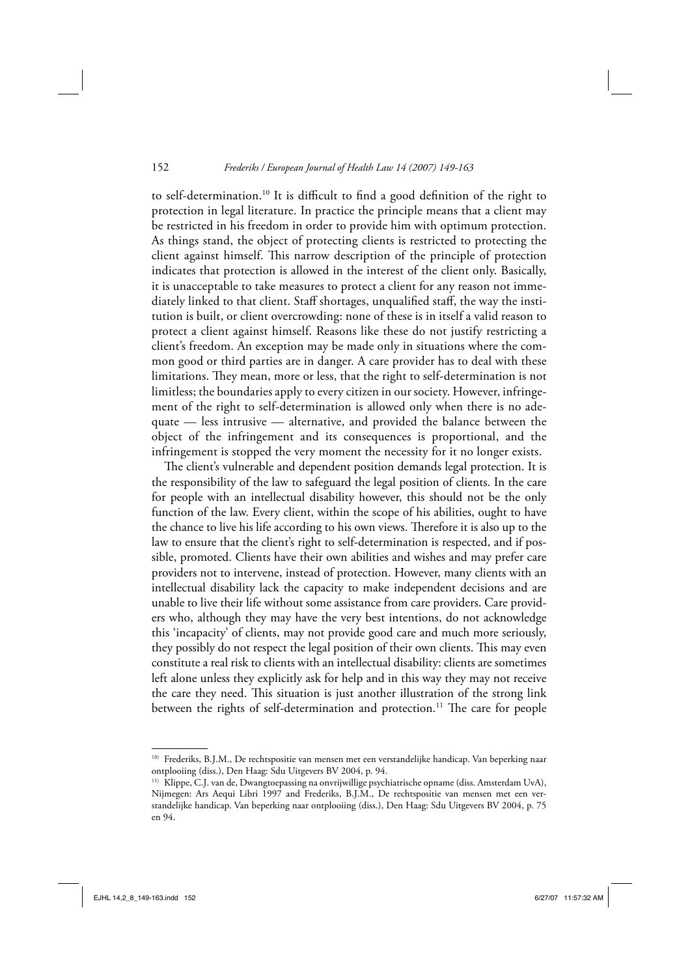to self-determination.10 It is difficult to find a good definition of the right to protection in legal literature. In practice the principle means that a client may be restricted in his freedom in order to provide him with optimum protection. As things stand, the object of protecting clients is restricted to protecting the client against himself. This narrow description of the principle of protection indicates that protection is allowed in the interest of the client only. Basically, it is unacceptable to take measures to protect a client for any reason not immediately linked to that client. Staff shortages, unqualified staff, the way the institution is built, or client overcrowding: none of these is in itself a valid reason to protect a client against himself. Reasons like these do not justify restricting a client's freedom. An exception may be made only in situations where the common good or third parties are in danger. A care provider has to deal with these limitations. They mean, more or less, that the right to self-determination is not limitless; the boundaries apply to every citizen in our society. However, infringement of the right to self-determination is allowed only when there is no adequate — less intrusive — alternative, and provided the balance between the object of the infringement and its consequences is proportional, and the infringement is stopped the very moment the necessity for it no longer exists.

The client's vulnerable and dependent position demands legal protection. It is the responsibility of the law to safeguard the legal position of clients. In the care for people with an intellectual disability however, this should not be the only function of the law. Every client, within the scope of his abilities, ought to have the chance to live his life according to his own views. Therefore it is also up to the law to ensure that the client's right to self-determination is respected, and if possible, promoted. Clients have their own abilities and wishes and may prefer care providers not to intervene, instead of protection. However, many clients with an intellectual disability lack the capacity to make independent decisions and are unable to live their life without some assistance from care providers. Care providers who, although they may have the very best intentions, do not acknowledge this 'incapacity' of clients, may not provide good care and much more seriously, they possibly do not respect the legal position of their own clients. This may even constitute a real risk to clients with an intellectual disability: clients are sometimes left alone unless they explicitly ask for help and in this way they may not receive the care they need. This situation is just another illustration of the strong link between the rights of self-determination and protection.<sup>11</sup> The care for people

<sup>10)</sup> Frederiks, B.J.M., De rechtspositie van mensen met een verstandelijke handicap. Van beperking naar ontplooiing (diss.), Den Haag: Sdu Uitgevers BV 2004, p. 94.

<sup>11)</sup> Klippe, C.J. van de, Dwangtoepassing na onvrijwillige psychiatrische opname (diss. Amsterdam UvA), Nijmegen: Ars Aequi Libri 1997 and Frederiks, B.J.M., De rechtspositie van mensen met een ver s tandelijke handicap. Van beperking naar ontplooiing (diss.), Den Haag: Sdu Uitgevers BV 2004, p. 75 en 94.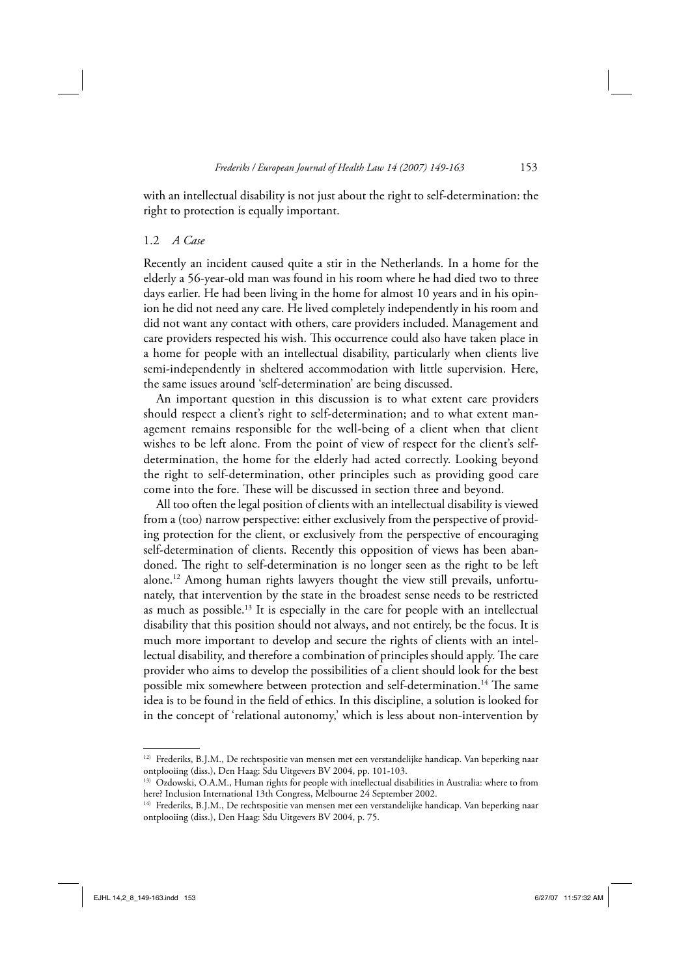with an intellectual disability is not just about the right to self-determination: the right to protection is equally important.

### 1.2 *A Case*

 Recently an incident caused quite a stir in the Netherlands. In a home for the elderly a 56-year-old man was found in his room where he had died two to three days earlier. He had been living in the home for almost 10 years and in his opinion he did not need any care. He lived completely independently in his room and did not want any contact with others, care providers included. Management and care providers respected his wish. This occurrence could also have taken place in a home for people with an intellectual disability, particularly when clients live semi-independently in sheltered accommodation with little supervision. Here, the same issues around 'self-determination' are being discussed.

 An important question in this discussion is to what extent care providers should respect a client's right to self-determination; and to what extent management remains responsible for the well-being of a client when that client wishes to be left alone. From the point of view of respect for the client's selfdetermination, the home for the elderly had acted correctly. Looking beyond the right to self-determination, other principles such as providing good care come into the fore. These will be discussed in section three and beyond.

 All too often the legal position of clients with an intellectual disability is viewed from a (too) narrow perspective: either exclusively from the perspective of providing protection for the client, or exclusively from the perspective of encouraging self-determination of clients. Recently this opposition of views has been abandoned. The right to self-determination is no longer seen as the right to be left alone.12 Among human rights lawyers thought the view still prevails, unfortunately, that intervention by the state in the broadest sense needs to be restricted as much as possible.13 It is especially in the care for people with an intellectual disability that this position should not always, and not entirely, be the focus. It is much more important to develop and secure the rights of clients with an intellectual disability, and therefore a combination of principles should apply. The care provider who aims to develop the possibilities of a client should look for the best possible mix somewhere between protection and self-determination.<sup>14</sup> The same idea is to be found in the field of ethics. In this discipline, a solution is looked for in the concept of 'relational autonomy,' which is less about non-intervention by

<sup>12)</sup> Frederiks, B.J.M., De rechtspositie van mensen met een verstandelijke handicap. Van beperking naar ontplooiing (diss.), Den Haag: Sdu Uitgevers BV 2004, pp. 101-103.

<sup>&</sup>lt;sup>13)</sup> Ozdowski, O.A.M., Human rights for people with intellectual disabilities in Australia: where to from here? Inclusion International 13th Congress, Melbourne 24 September 2002.

<sup>14)</sup> Frederiks, B.J.M., De rechtspositie van mensen met een verstandelijke handicap. Van beperking naar ontplooiing (diss.), Den Haag: Sdu Uitgevers BV 2004, p. 75.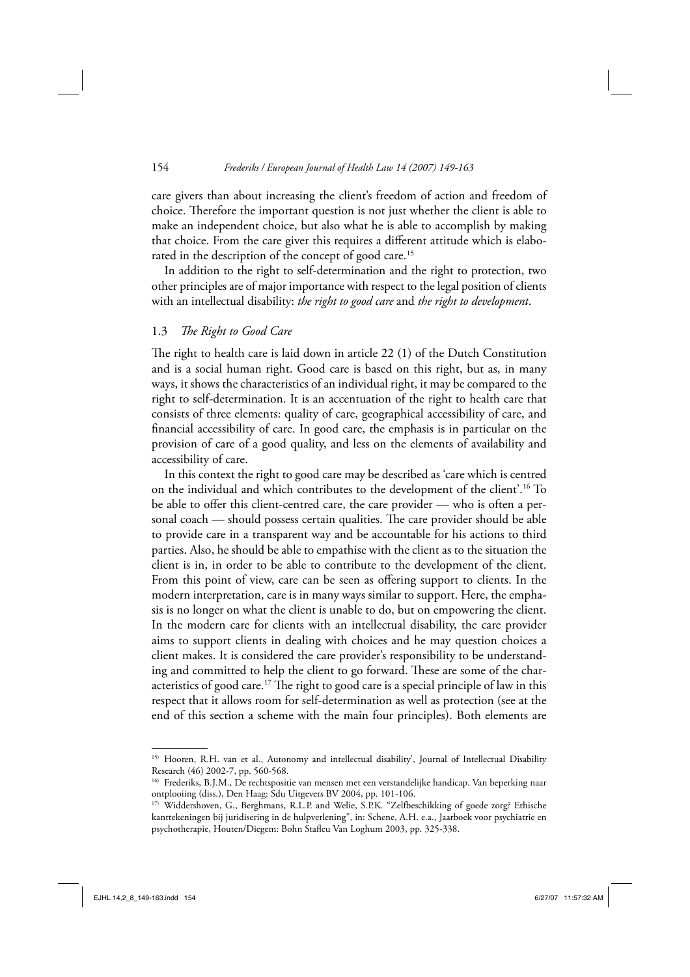care givers than about increasing the client's freedom of action and freedom of choice. Therefore the important question is not just whether the client is able to make an independent choice, but also what he is able to accomplish by making that choice. From the care giver this requires a different attitude which is elaborated in the description of the concept of good care.<sup>15</sup>

 In addition to the right to self-determination and the right to protection, two other principles are of major importance with respect to the legal position of clients with an intellectual disability: *the right to good care* and *the right to development*.

## 1.3 The Right to Good Care

The right to health care is laid down in article  $22(1)$  of the Dutch Constitution and is a social human right. Good care is based on this right, but as, in many ways, it shows the characteristics of an individual right, it may be compared to the right to self-determination. It is an accentuation of the right to health care that consists of three elements: quality of care, geographical accessibility of care, and financial accessibility of care. In good care, the emphasis is in particular on the provision of care of a good quality, and less on the elements of availability and accessibility of care.

 In this context the right to good care may be described as 'care which is centred on the individual and which contributes to the development of the client'.16 To be able to offer this client-centred care, the care provider — who is often a personal coach — should possess certain qualities. The care provider should be able to provide care in a transparent way and be accountable for his actions to third parties. Also, he should be able to empathise with the client as to the situation the client is in, in order to be able to contribute to the development of the client. From this point of view, care can be seen as offering support to clients. In the modern interpretation, care is in many ways similar to support. Here, the emphasis is no longer on what the client is unable to do, but on empowering the client. In the modern care for clients with an intellectual disability, the care provider aims to support clients in dealing with choices and he may question choices a client makes. It is considered the care provider's responsibility to be understanding and committed to help the client to go forward. These are some of the characteristics of good care.<sup>17</sup> The right to good care is a special principle of law in this respect that it allows room for self-determination as well as protection (see at the end of this section a scheme with the main four principles). Both elements are

<sup>15)</sup> Hooren, R.H. van et al., Autonomy and intellectual disability', Journal of Intellectual Disability Research (46) 2002-7, pp. 560-568.

<sup>16)</sup> Frederiks, B.J.M., De rechtspositie van mensen met een verstandelijke handicap. Van beperking naar ontplooiing (diss.), Den Haag: Sdu Uitgevers BV 2004, pp. 101-106.

<sup>17)</sup> Widdershoven, G., Berghmans, R.L.P. and Welie, S.P.K. "Zelfbeschikking of goede zorg? Ethische kanttekeningen bij juridisering in de hulpverlening", in: Schene, A.H. e.a., Jaarboek voor psychiatrie en psychotherapie, Houten/Diegem: Bohn Stafleu Van Loghum 2003, pp. 325-338.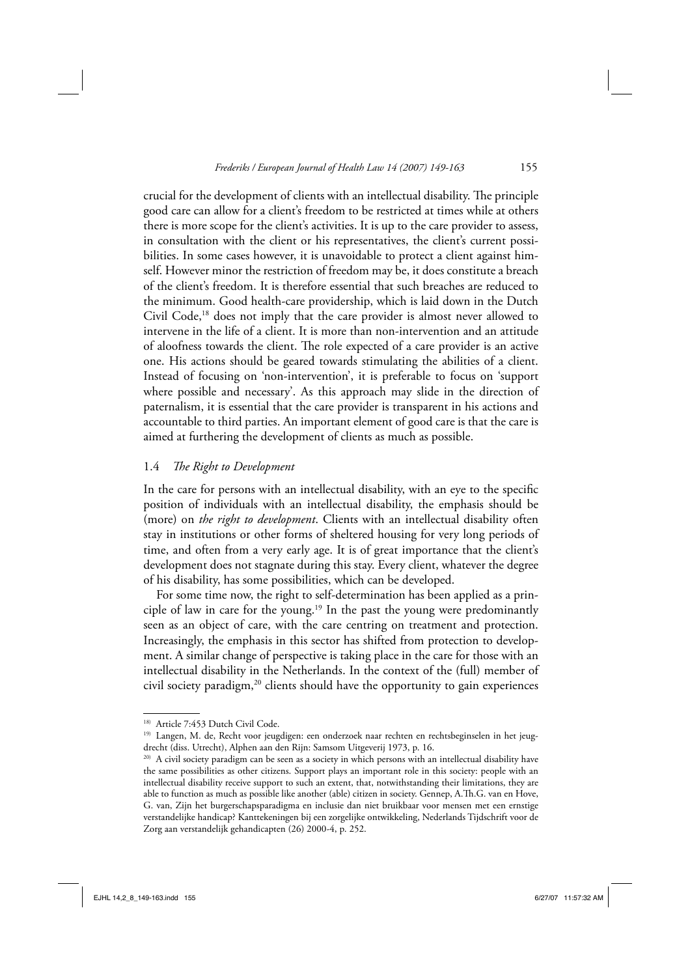crucial for the development of clients with an intellectual disability. The principle good care can allow for a client's freedom to be restricted at times while at others there is more scope for the client's activities. It is up to the care provider to assess, in consultation with the client or his representatives, the client's current possibilities. In some cases however, it is unavoidable to protect a client against himself. However minor the restriction of freedom may be, it does constitute a breach of the client's freedom. It is therefore essential that such breaches are reduced to the minimum. Good health-care providership, which is laid down in the Dutch Civil Code,18 does not imply that the care provider is almost never allowed to intervene in the life of a client. It is more than non-intervention and an attitude of aloofness towards the client. The role expected of a care provider is an active one. His actions should be geared towards stimulating the abilities of a client. Instead of focusing on 'non-intervention', it is preferable to focus on 'support where possible and necessary'. As this approach may slide in the direction of paternalism, it is essential that the care provider is transparent in his actions and accountable to third parties. An important element of good care is that the care is aimed at furthering the development of clients as much as possible.

## 1.4 *The Right to Development*

 In the care for persons with an intellectual disability, with an eye to the specific position of individuals with an intellectual disability, the emphasis should be (more) on *the right to development*. Clients with an intellectual disability often stay in institutions or other forms of sheltered housing for very long periods of time, and often from a very early age. It is of great importance that the client's development does not stagnate during this stay. Every client, whatever the degree of his disability, has some possibilities, which can be developed.

 For some time now, the right to self-determination has been applied as a principle of law in care for the young.19 In the past the young were predominantly seen as an object of care, with the care centring on treatment and protection. Increasingly, the emphasis in this sector has shifted from protection to development. A similar change of perspective is taking place in the care for those with an intellectual disability in the Netherlands. In the context of the (full) member of civil society paradigm,<sup>20</sup> clients should have the opportunity to gain experiences

<sup>18)</sup> Article 7:453 Dutch Civil Code.

<sup>&</sup>lt;sup>19)</sup> Langen, M. de, Recht voor jeugdigen: een onderzoek naar rechten en rechtsbeginselen in het jeugdrecht (diss. Utrecht), Alphen aan den Rijn: Samsom Uitgeverij 1973, p. 16.

<sup>&</sup>lt;sup>20)</sup> A civil society paradigm can be seen as a society in which persons with an intellectual disability have the same possibilities as other citizens. Support plays an important role in this society: people with an intellectual disability receive support to such an extent, that, notwithstanding their limitations, they are able to function as much as possible like another (able) citizen in society. Gennep, A.Th .G. van en Hove, G. van, Zijn het burgerschapsparadigma en inclusie dan niet bruikbaar voor mensen met een ernstige verstandelijke handicap? Kanttekeningen bij een zorgelijke ontwikkeling, Nederlands Tijdschrift voor de Zorg aan verstandelijk gehandicapten (26) 2000-4, p. 252.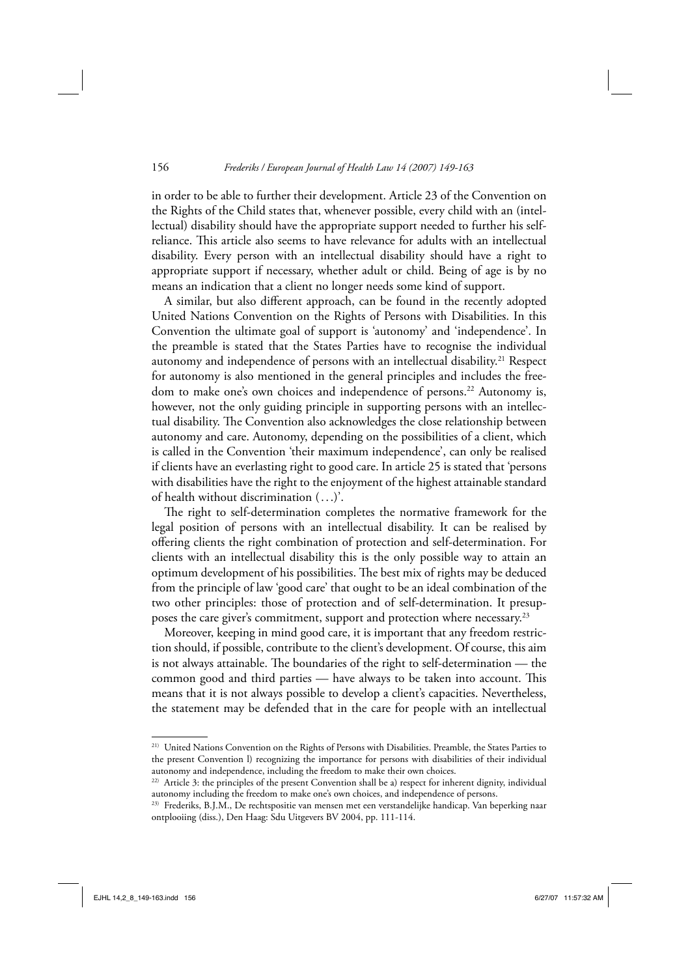in order to be able to further their development. Article 23 of the Convention on the Rights of the Child states that, whenever possible, every child with an (intellectual) disability should have the appropriate support needed to further his selfreliance. This article also seems to have relevance for adults with an intellectual disability. Every person with an intellectual disability should have a right to appropriate support if necessary, whether adult or child. Being of age is by no means an indication that a client no longer needs some kind of support.

 A similar, but also different approach, can be found in the recently adopted United Nations Convention on the Rights of Persons with Disabilities. In this Convention the ultimate goal of support is 'autonomy' and 'independence'. In the preamble is stated that the States Parties have to recognise the individual autonomy and independence of persons with an intellectual disability.<sup>21</sup> Respect for autonomy is also mentioned in the general principles and includes the freedom to make one's own choices and independence of persons.<sup>22</sup> Autonomy is, however, not the only guiding principle in supporting persons with an intellectual disability. The Convention also acknowledges the close relationship between autonomy and care. Autonomy, depending on the possibilities of a client, which is called in the Convention 'their maximum independence', can only be realised if clients have an everlasting right to good care. In article 25 is stated that 'persons with disabilities have the right to the enjoyment of the highest attainable standard of health without discrimination ( . . .)'.

The right to self-determination completes the normative framework for the legal position of persons with an intellectual disability. It can be realised by offering clients the right combination of protection and self-determination. For clients with an intellectual disability this is the only possible way to attain an optimum development of his possibilities. The best mix of rights may be deduced from the principle of law 'good care' that ought to be an ideal combination of the two other principles: those of protection and of self-determination. It presupposes the care giver's commitment, support and protection where necessary.<sup>23</sup>

 Moreover, keeping in mind good care, it is important that any freedom restriction should, if possible, contribute to the client's development. Of course, this aim is not always attainable. The boundaries of the right to self-determination — the common good and third parties — have always to be taken into account. This means that it is not always possible to develop a client's capacities. Nevertheless, the statement may be defended that in the care for people with an intellectual

<sup>&</sup>lt;sup>21)</sup> United Nations Convention on the Rights of Persons with Disabilities. Preamble, the States Parties to the present Convention l) recognizing the importance for persons with disabilities of their individual autonomy and independence, including the freedom to make their own choices.

<sup>&</sup>lt;sup>22)</sup> Article 3: the principles of the present Convention shall be a) respect for inherent dignity, individual autonomy including the freedom to make one's own choices, and independence of persons.

<sup>23)</sup> Frederiks, B.J.M., De rechtspositie van mensen met een verstandelijke handicap. Van beperking naar ontplooiing (diss.), Den Haag: Sdu Uitgevers BV 2004, pp. 111-114.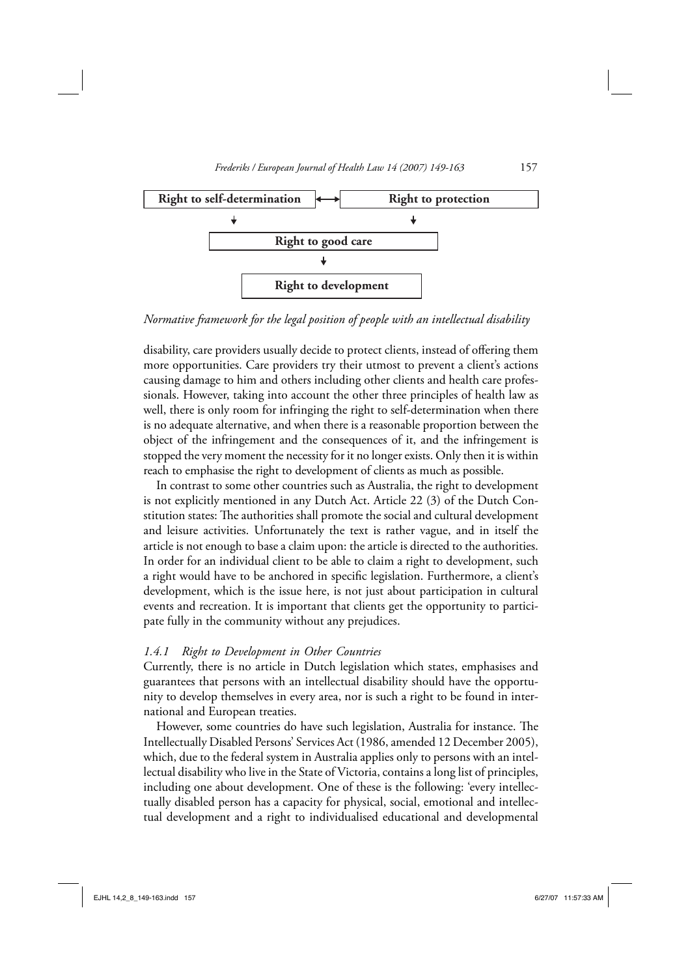

*Normative framework for the legal position of people with an intellectual disability* 

disability, care providers usually decide to protect clients, instead of offering them more opportunities. Care providers try their utmost to prevent a client's actions causing damage to him and others including other clients and health care professionals. However, taking into account the other three principles of health law as well, there is only room for infringing the right to self-determination when there is no adequate alternative, and when there is a reasonable proportion between the object of the infringement and the consequences of it, and the infringement is stopped the very moment the necessity for it no longer exists. Only then it is within reach to emphasise the right to development of clients as much as possible.

 In contrast to some other countries such as Australia, the right to development is not explicitly mentioned in any Dutch Act. Article 22 (3) of the Dutch Constitution states: The authorities shall promote the social and cultural development and leisure activities. Unfortunately the text is rather vague, and in itself the article is not enough to base a claim upon: the article is directed to the authorities. In order for an individual client to be able to claim a right to development, such a right would have to be anchored in specific legislation. Furthermore, a client's development, which is the issue here, is not just about participation in cultural events and recreation. It is important that clients get the opportunity to participate fully in the community without any prejudices.

### *1.4.1 Right to Development in Other Countries*

 Currently, there is no article in Dutch legislation which states, emphasises and guarantees that persons with an intellectual disability should have the opportunity to develop themselves in every area, nor is such a right to be found in international and European treaties.

However, some countries do have such legislation, Australia for instance. The Intellectually Disabled Persons' Services Act (1986, amended 12 December 2005), which, due to the federal system in Australia applies only to persons with an intellectual disability who live in the State of Victoria, contains a long list of principles, including one about development. One of these is the following: 'every intellectually disabled person has a capacity for physical, social, emotional and intellectual development and a right to individualised educational and developmental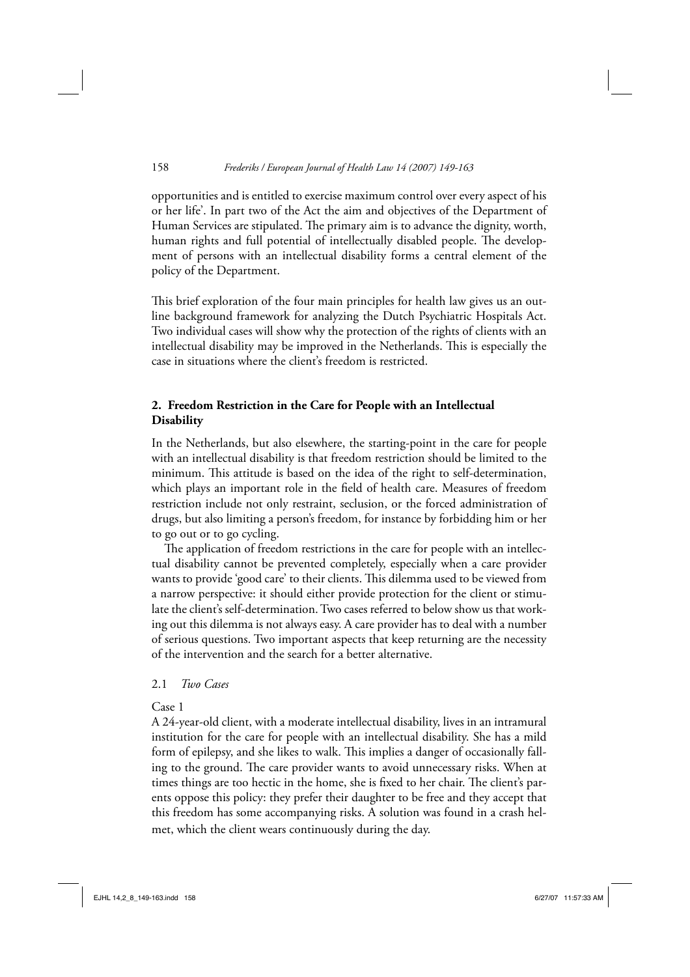opportunities and is entitled to exercise maximum control over every aspect of his or her life'. In part two of the Act the aim and objectives of the Department of Human Services are stipulated. The primary aim is to advance the dignity, worth, human rights and full potential of intellectually disabled people. The development of persons with an intellectual disability forms a central element of the policy of the Department.

This brief exploration of the four main principles for health law gives us an outline background framework for analyzing the Dutch Psychiatric Hospitals Act. Two individual cases will show why the protection of the rights of clients with an intellectual disability may be improved in the Netherlands. This is especially the case in situations where the client's freedom is restricted.

# **2. Freedom Restriction in the Care for People with an Intellectual Disability**

 In the Netherlands, but also elsewhere, the starting-point in the care for people with an intellectual disability is that freedom restriction should be limited to the minimum. This attitude is based on the idea of the right to self-determination, which plays an important role in the field of health care. Measures of freedom restriction include not only restraint, seclusion, or the forced administration of drugs, but also limiting a person's freedom, for instance by forbidding him or her to go out or to go cycling.

The application of freedom restrictions in the care for people with an intellectual disability cannot be prevented completely, especially when a care provider wants to provide 'good care' to their clients. This dilemma used to be viewed from a narrow perspective: it should either provide protection for the client or stimulate the client's self-determination. Two cases referred to below show us that working out this dilemma is not always easy. A care provider has to deal with a number of serious questions. Two important aspects that keep returning are the necessity of the intervention and the search for a better alternative.

# 2.1 *Two Cases*

Case 1

 A 24-year-old client, with a moderate intellectual disability, lives in an intramural institution for the care for people with an intellectual disability. She has a mild form of epilepsy, and she likes to walk. This implies a danger of occasionally falling to the ground. The care provider wants to avoid unnecessary risks. When at times things are too hectic in the home, she is fixed to her chair. The client's parents oppose this policy: they prefer their daughter to be free and they accept that this freedom has some accompanying risks. A solution was found in a crash helmet, which the client wears continuously during the day.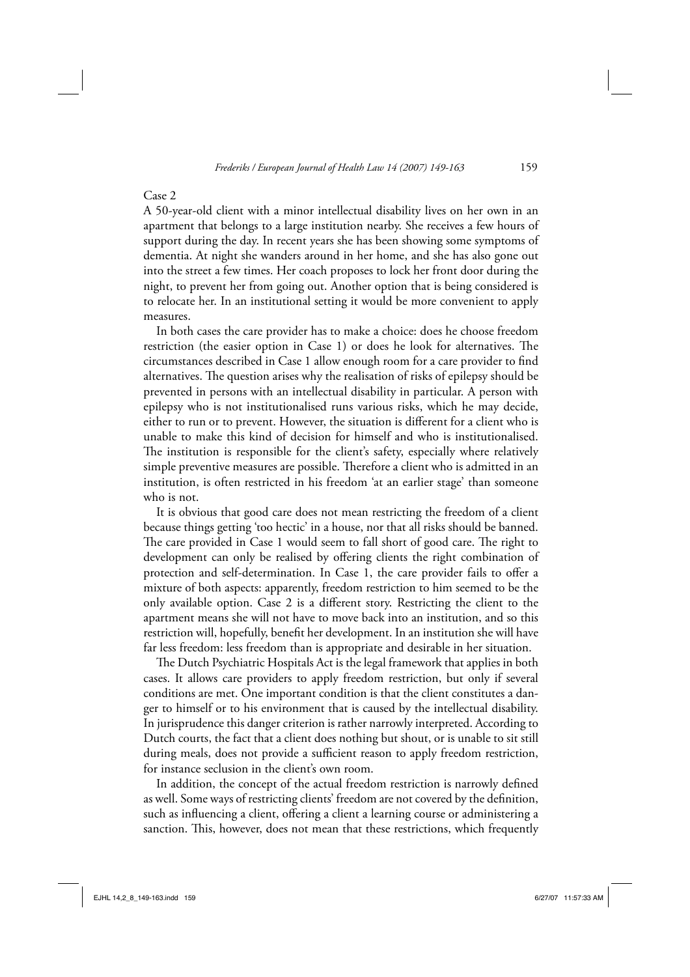## Case 2

 A 50-year-old client with a minor intellectual disability lives on her own in an apartment that belongs to a large institution nearby. She receives a few hours of support during the day. In recent years she has been showing some symptoms of dementia. At night she wanders around in her home, and she has also gone out into the street a few times. Her coach proposes to lock her front door during the night, to prevent her from going out. Another option that is being considered is to relocate her. In an institutional setting it would be more convenient to apply measures.

 In both cases the care provider has to make a choice: does he choose freedom restriction (the easier option in Case 1) or does he look for alternatives. The circumstances described in Case 1 allow enough room for a care provider to find alternatives. The question arises why the realisation of risks of epilepsy should be prevented in persons with an intellectual disability in particular. A person with epilepsy who is not institutionalised runs various risks, which he may decide, either to run or to prevent. However, the situation is different for a client who is unable to make this kind of decision for himself and who is institutionalised. The institution is responsible for the client's safety, especially where relatively simple preventive measures are possible. Therefore a client who is admitted in an institution, is often restricted in his freedom 'at an earlier stage' than someone who is not.

 It is obvious that good care does not mean restricting the freedom of a client because things getting 'too hectic' in a house, nor that all risks should be banned. The care provided in Case 1 would seem to fall short of good care. The right to development can only be realised by offering clients the right combination of protection and self-determination. In Case 1, the care provider fails to offer a mixture of both aspects: apparently, freedom restriction to him seemed to be the only available option. Case 2 is a different story. Restricting the client to the apartment means she will not have to move back into an institution, and so this restriction will, hopefully, benefit her development. In an institution she will have far less freedom: less freedom than is appropriate and desirable in her situation.

The Dutch Psychiatric Hospitals Act is the legal framework that applies in both cases. It allows care providers to apply freedom restriction, but only if several conditions are met. One important condition is that the client constitutes a danger to himself or to his environment that is caused by the intellectual disability. In jurisprudence this danger criterion is rather narrowly interpreted. According to Dutch courts, the fact that a client does nothing but shout, or is unable to sit still during meals, does not provide a sufficient reason to apply freedom restriction, for instance seclusion in the client's own room.

 In addition, the concept of the actual freedom restriction is narrowly defined as well. Some ways of restricting clients' freedom are not covered by the definition, such as influencing a client, offering a client a learning course or administering a sanction. This, however, does not mean that these restrictions, which frequently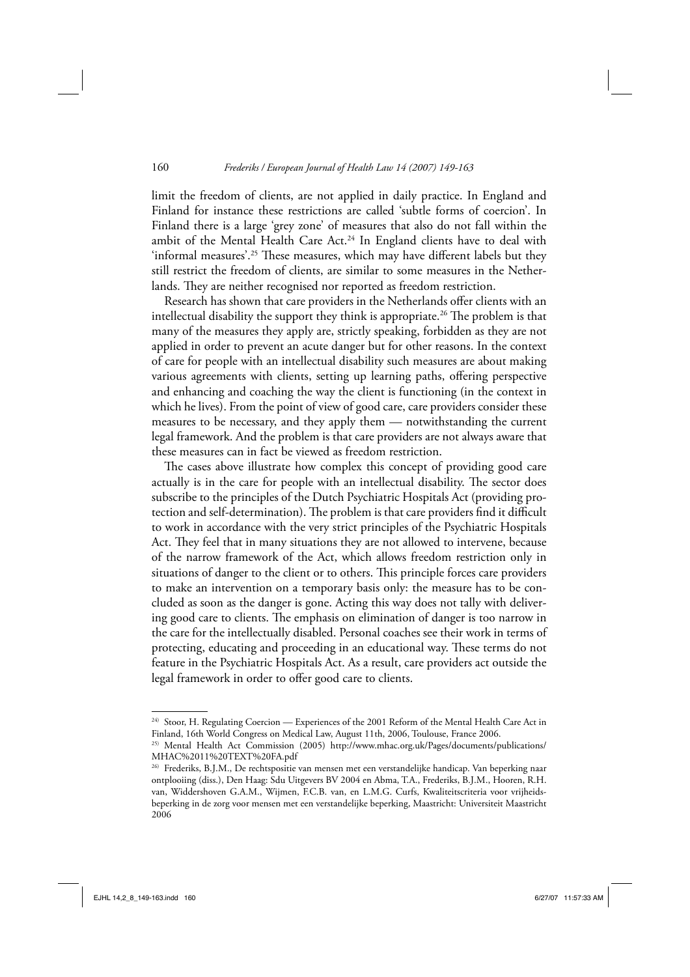limit the freedom of clients, are not applied in daily practice. In England and Finland for instance these restrictions are called 'subtle forms of coercion'. In Finland there is a large 'grey zone' of measures that also do not fall within the ambit of the Mental Health Care Act.<sup>24</sup> In England clients have to deal with 'informal measures'.<sup>25</sup> These measures, which may have different labels but they still restrict the freedom of clients, are similar to some measures in the Netherlands. They are neither recognised nor reported as freedom restriction.

 Research has shown that care providers in the Netherlands offer clients with an intellectual disability the support they think is appropriate.<sup>26</sup> The problem is that many of the measures they apply are, strictly speaking, forbidden as they are not applied in order to prevent an acute danger but for other reasons. In the context of care for people with an intellectual disability such measures are about making various agreements with clients, setting up learning paths, offering perspective and enhancing and coaching the way the client is functioning (in the context in which he lives). From the point of view of good care, care providers consider these measures to be necessary, and they apply them — notwithstanding the current legal framework. And the problem is that care providers are not always aware that these measures can in fact be viewed as freedom restriction.

The cases above illustrate how complex this concept of providing good care actually is in the care for people with an intellectual disability. The sector does subscribe to the principles of the Dutch Psychiatric Hospitals Act (providing protection and self-determination). The problem is that care providers find it difficult to work in accordance with the very strict principles of the Psychiatric Hospitals Act. They feel that in many situations they are not allowed to intervene, because of the narrow framework of the Act, which allows freedom restriction only in situations of danger to the client or to others. This principle forces care providers to make an intervention on a temporary basis only: the measure has to be concluded as soon as the danger is gone. Acting this way does not tally with delivering good care to clients. The emphasis on elimination of danger is too narrow in the care for the intellectually disabled. Personal coaches see their work in terms of protecting, educating and proceeding in an educational way. These terms do not feature in the Psychiatric Hospitals Act. As a result, care providers act outside the legal framework in order to offer good care to clients.

<sup>&</sup>lt;sup>24)</sup> Stoor, H. Regulating Coercion — Experiences of the 2001 Reform of the Mental Health Care Act in Finland, 16th World Congress on Medical Law, August 11th, 2006, Toulouse, France 2006.

<sup>25)</sup> Mental Health Act Commission (2005) http://www.mhac.org.uk/Pages/documents/publications/ MHAC%2011%20TEXT%20FA.pdf

<sup>26)</sup> Frederiks, B.J.M., De rechtspositie van mensen met een verstandelijke handicap. Van beperking naar ontplooiing (diss.), Den Haag: Sdu Uitgevers BV 2004 en Abma, T.A., Frederiks, B.J.M., Hooren, R.H. van, Widdershoven G.A.M., Wijmen, F.C.B. van, en L.M.G. Curfs, Kwaliteitscriteria voor vrijheidsbeperking in de zorg voor mensen met een verstandelijke beperking, Maastricht: Universiteit Maastricht 2006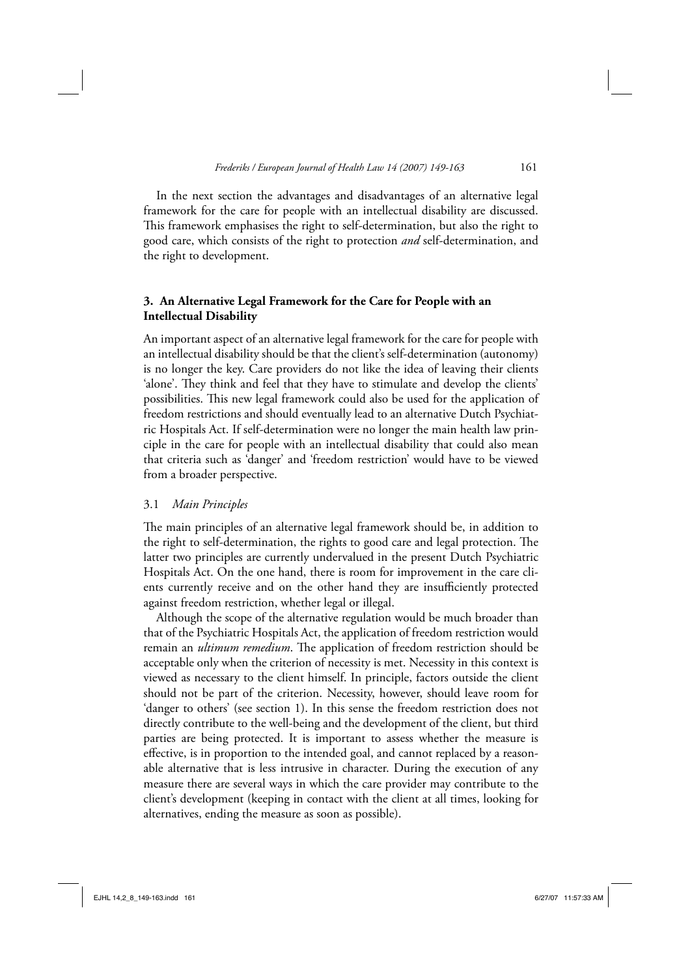In the next section the advantages and disadvantages of an alternative legal framework for the care for people with an intellectual disability are discussed. This framework emphasises the right to self-determination, but also the right to good care, which consists of the right to protection *and* self-determination, and the right to development.

# **3. An Alternative Legal Framework for the Care for People with an Intellectual Disability**

 An important aspect of an alternative legal framework for the care for people with an intellectual disability should be that the client's self-determination (autonomy) is no longer the key. Care providers do not like the idea of leaving their clients 'alone'. They think and feel that they have to stimulate and develop the clients' possibilities. This new legal framework could also be used for the application of freedom restrictions and should eventually lead to an alternative Dutch Psychiatric Hospitals Act. If self-determination were no longer the main health law principle in the care for people with an intellectual disability that could also mean that criteria such as 'danger' and 'freedom restriction' would have to be viewed from a broader perspective.

## 3.1 *Main Principles*

The main principles of an alternative legal framework should be, in addition to the right to self-determination, the rights to good care and legal protection. The latter two principles are currently undervalued in the present Dutch Psychiatric Hospitals Act. On the one hand, there is room for improvement in the care clients currently receive and on the other hand they are insufficiently protected against freedom restriction, whether legal or illegal.

 Although the scope of the alternative regulation would be much broader than that of the Psychiatric Hospitals Act, the application of freedom restriction would remain an *ultimum remedium*. The application of freedom restriction should be acceptable only when the criterion of necessity is met. Necessity in this context is viewed as necessary to the client himself. In principle, factors outside the client should not be part of the criterion. Necessity, however, should leave room for 'danger to others' (see section 1). In this sense the freedom restriction does not directly contribute to the well-being and the development of the client, but third parties are being protected. It is important to assess whether the measure is effective, is in proportion to the intended goal, and cannot replaced by a reasonable alternative that is less intrusive in character. During the execution of any measure there are several ways in which the care provider may contribute to the client's development (keeping in contact with the client at all times, looking for alternatives, ending the measure as soon as possible).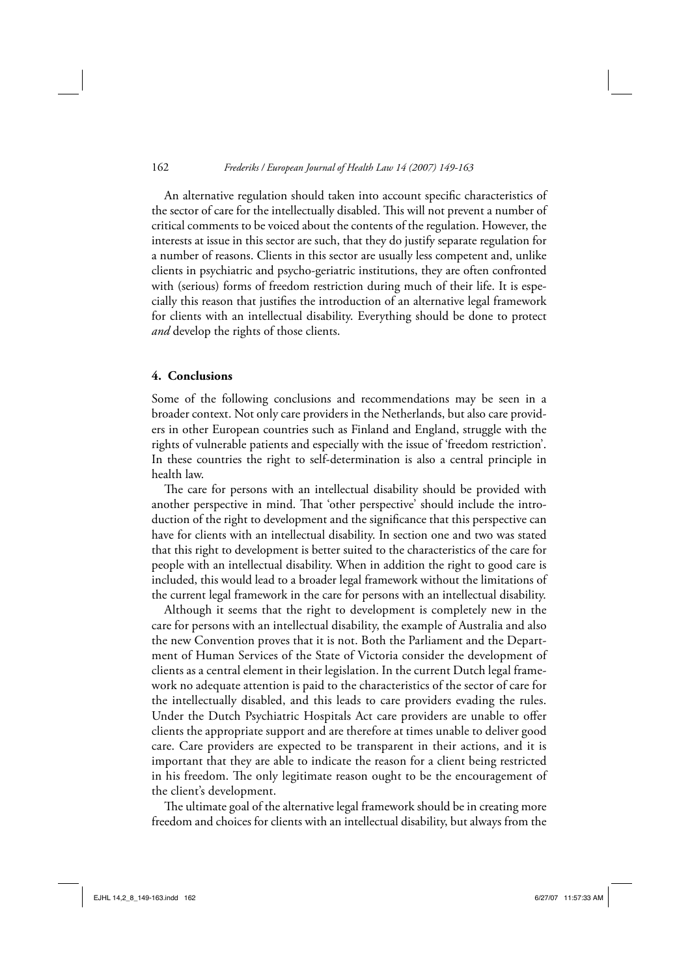An alternative regulation should taken into account specific characteristics of the sector of care for the intellectually disabled. This will not prevent a number of critical comments to be voiced about the contents of the regulation. However, the interests at issue in this sector are such, that they do justify separate regulation for a number of reasons. Clients in this sector are usually less competent and, unlike clients in psychiatric and psycho-geriatric institutions, they are often confronted with (serious) forms of freedom restriction during much of their life. It is especially this reason that justifies the introduction of an alternative legal framework for clients with an intellectual disability. Everything should be done to protect *and* develop the rights of those clients.

#### **4. Conclusions**

 Some of the following conclusions and recommendations may be seen in a broader context. Not only care providers in the Netherlands, but also care providers in other European countries such as Finland and England, struggle with the rights of vulnerable patients and especially with the issue of 'freedom restriction'. In these countries the right to self-determination is also a central principle in health law.

The care for persons with an intellectual disability should be provided with another perspective in mind. That 'other perspective' should include the introduction of the right to development and the significance that this perspective can have for clients with an intellectual disability. In section one and two was stated that this right to development is better suited to the characteristics of the care for people with an intellectual disability. When in addition the right to good care is included, this would lead to a broader legal framework without the limitations of the current legal framework in the care for persons with an intellectual disability.

 Although it seems that the right to development is completely new in the care for persons with an intellectual disability, the example of Australia and also the new Convention proves that it is not. Both the Parliament and the Department of Human Services of the State of Victoria consider the development of clients as a central element in their legislation. In the current Dutch legal framework no adequate attention is paid to the characteristics of the sector of care for the intellectually disabled, and this leads to care providers evading the rules. Under the Dutch Psychiatric Hospitals Act care providers are unable to offer clients the appropriate support and are therefore at times unable to deliver good care. Care providers are expected to be transparent in their actions, and it is important that they are able to indicate the reason for a client being restricted in his freedom. The only legitimate reason ought to be the encouragement of the client's development.

The ultimate goal of the alternative legal framework should be in creating more freedom and choices for clients with an intellectual disability, but always from the